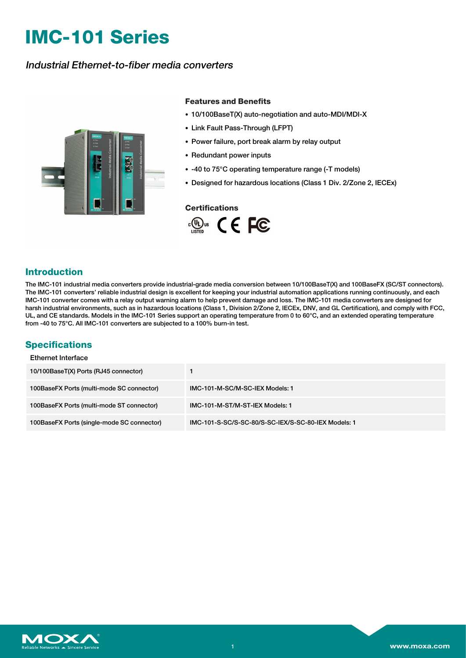# **IMC-101 Series**

# Industrial Ethernet-to-fiber media converters



#### **Features and Benefits**

- 10/100BaseT(X) auto-negotiation and auto-MDI/MDI-X
- Link Fault Pass-Through (LFPT)
- Power failure, port break alarm by relay output
- Redundant power inputs
- -40 to 75°C operating temperature range (-T models)
- Designed for hazardous locations (Class 1 Div. 2/Zone 2, IECEx)

#### **Certifications**



### **Introduction**

The IMC-101 industrial media converters provide industrial-grade media conversion between 10/100BaseT(X) and 100BaseFX (SC/ST connectors). The IMC-101 converters' reliable industrial design is excellent for keeping your industrial automation applications running continuously, and each IMC-101 converter comes with a relay output warning alarm to help prevent damage and loss. The IMC-101 media converters are designed for harsh industrial environments, such as in hazardous locations (Class 1, Division 2/Zone 2, IECEx, DNV, and GL Certification), and comply with FCC, UL, and CE standards. Models in the IMC-101 Series support an operating temperature from 0 to 60°C, and an extended operating temperature from -40 to 75°C. All IMC-101 converters are subjected to a 100% burn-in test.

## **Specifications**

| <b>Ethernet Interface</b>                  |                                                     |
|--------------------------------------------|-----------------------------------------------------|
| 10/100BaseT(X) Ports (RJ45 connector)      |                                                     |
| 100BaseFX Ports (multi-mode SC connector)  | IMC-101-M-SC/M-SC-IEX Models: 1                     |
| 100BaseFX Ports (multi-mode ST connector)  | IMC-101-M-ST/M-ST-IEX Models: 1                     |
| 100BaseFX Ports (single-mode SC connector) | IMC-101-S-SC/S-SC-80/S-SC-IEX/S-SC-80-IEX Models: 1 |

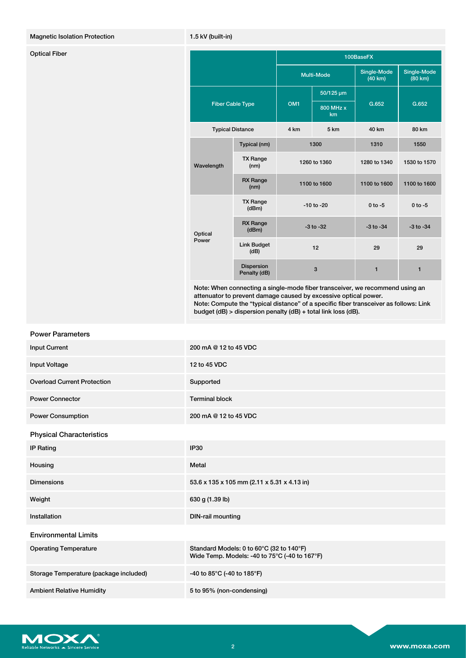#### Magnetic Isolation Protection 1.5 kV (built-in)

| <b>Optical Fiber</b> |                         |                            | 100BaseFX       |                 |                        |                        |
|----------------------|-------------------------|----------------------------|-----------------|-----------------|------------------------|------------------------|
|                      |                         |                            |                 | Multi-Mode      | Single-Mode<br>(40 km) | Single-Mode<br>(80 km) |
|                      | <b>Fiber Cable Type</b> |                            | OM <sub>1</sub> | 50/125 µm       | G.652                  | G.652                  |
|                      |                         |                            |                 | 800 MHz x<br>km |                        |                        |
|                      |                         | <b>Typical Distance</b>    | 4 km            | 5 km            | 40 km                  | 80 km                  |
|                      | Wavelength              | Typical (nm)               | 1300            |                 | 1310                   | 1550                   |
|                      |                         | <b>TX Range</b><br>(nm)    | 1260 to 1360    |                 | 1280 to 1340           | 1530 to 1570           |
|                      |                         | <b>RX Range</b><br>(nm)    | 1100 to 1600    |                 | 1100 to 1600           | 1100 to 1600           |
|                      | Optical<br>Power        | <b>TX Range</b><br>(dBm)   | $-10$ to $-20$  |                 | $0$ to $-5$            | $0 to -5$              |
|                      |                         | <b>RX Range</b><br>(dBm)   | $-3$ to $-32$   |                 | $-3$ to $-34$          | $-3$ to $-34$          |
|                      |                         | Link Budget<br>(dB)        | 12              |                 | 29                     | 29                     |
|                      |                         | Dispersion<br>Penalty (dB) |                 | $\mathbf{3}$    | $\mathbf{1}$           | $\mathbf{1}$           |

Note: When connecting a single-mode fiber transceiver, we recommend using an attenuator to prevent damage caused by excessive optical power. Note: Compute the "typical distance" of a specific fiber transceiver as follows: Link budget (dB) > dispersion penalty (dB) + total link loss (dB).

| <b>Power Parameters</b>                |                                                                                           |  |  |
|----------------------------------------|-------------------------------------------------------------------------------------------|--|--|
| <b>Input Current</b>                   | 200 mA @ 12 to 45 VDC                                                                     |  |  |
| Input Voltage                          | 12 to 45 VDC                                                                              |  |  |
| <b>Overload Current Protection</b>     | Supported                                                                                 |  |  |
| <b>Power Connector</b>                 | <b>Terminal block</b>                                                                     |  |  |
| <b>Power Consumption</b>               | 200 mA @ 12 to 45 VDC                                                                     |  |  |
| <b>Physical Characteristics</b>        |                                                                                           |  |  |
| <b>IP Rating</b>                       | <b>IP30</b>                                                                               |  |  |
| Housing                                | Metal                                                                                     |  |  |
| <b>Dimensions</b>                      | 53.6 x 135 x 105 mm (2.11 x 5.31 x 4.13 in)                                               |  |  |
| Weight                                 | 630 g (1.39 lb)                                                                           |  |  |
| Installation                           | <b>DIN-rail mounting</b>                                                                  |  |  |
| <b>Environmental Limits</b>            |                                                                                           |  |  |
| <b>Operating Temperature</b>           | Standard Models: 0 to 60°C (32 to 140°F)<br>Wide Temp. Models: -40 to 75°C (-40 to 167°F) |  |  |
| Storage Temperature (package included) | -40 to 85°C (-40 to 185°F)                                                                |  |  |
| <b>Ambient Relative Humidity</b>       | 5 to 95% (non-condensing)                                                                 |  |  |

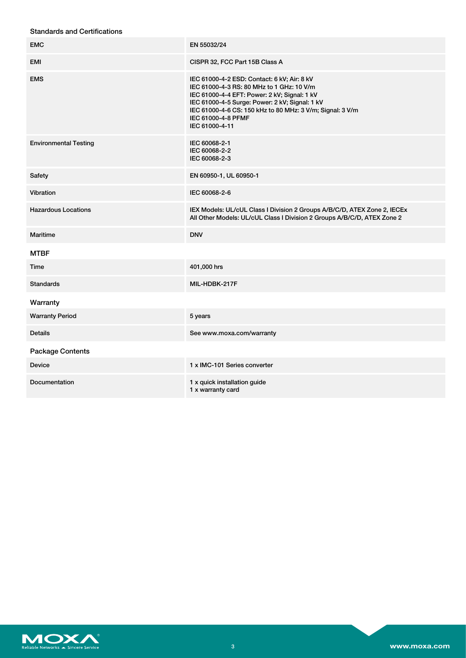#### Standards and Certifications

| <b>EMC</b>                   | EN 55032/24                                                                                                                                                                                                                                                                                     |
|------------------------------|-------------------------------------------------------------------------------------------------------------------------------------------------------------------------------------------------------------------------------------------------------------------------------------------------|
| EMI                          | CISPR 32, FCC Part 15B Class A                                                                                                                                                                                                                                                                  |
| <b>EMS</b>                   | IEC 61000-4-2 ESD: Contact: 6 kV; Air: 8 kV<br>IEC 61000-4-3 RS: 80 MHz to 1 GHz: 10 V/m<br>IEC 61000-4-4 EFT: Power: 2 kV; Signal: 1 kV<br>IEC 61000-4-5 Surge: Power: 2 kV; Signal: 1 kV<br>IEC 61000-4-6 CS: 150 kHz to 80 MHz: 3 V/m; Signal: 3 V/m<br>IEC 61000-4-8 PFMF<br>IEC 61000-4-11 |
| <b>Environmental Testing</b> | IEC 60068-2-1<br>IEC 60068-2-2<br>IEC 60068-2-3                                                                                                                                                                                                                                                 |
| Safety                       | EN 60950-1, UL 60950-1                                                                                                                                                                                                                                                                          |
| Vibration                    | IEC 60068-2-6                                                                                                                                                                                                                                                                                   |
| <b>Hazardous Locations</b>   | IEX Models: UL/cUL Class I Division 2 Groups A/B/C/D, ATEX Zone 2, IECEx<br>All Other Models: UL/cUL Class I Division 2 Groups A/B/C/D, ATEX Zone 2                                                                                                                                             |
| Maritime                     | <b>DNV</b>                                                                                                                                                                                                                                                                                      |
| <b>MTBF</b>                  |                                                                                                                                                                                                                                                                                                 |
| Time                         | 401,000 hrs                                                                                                                                                                                                                                                                                     |
| <b>Standards</b>             | MIL-HDBK-217F                                                                                                                                                                                                                                                                                   |
| Warranty                     |                                                                                                                                                                                                                                                                                                 |
| <b>Warranty Period</b>       | 5 years                                                                                                                                                                                                                                                                                         |
| <b>Details</b>               | See www.moxa.com/warranty                                                                                                                                                                                                                                                                       |
| <b>Package Contents</b>      |                                                                                                                                                                                                                                                                                                 |
| <b>Device</b>                | 1 x IMC-101 Series converter                                                                                                                                                                                                                                                                    |
| Documentation                | 1 x quick installation guide<br>1 x warranty card                                                                                                                                                                                                                                               |

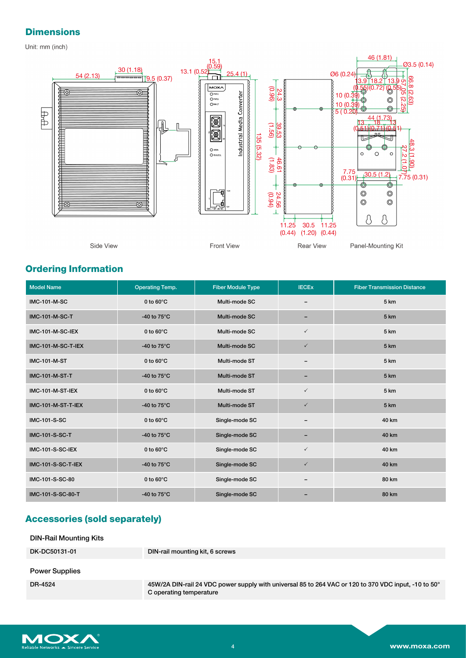# **Dimensions**

Unit: mm (inch)



# **Ordering Information**

| <b>Model Name</b>     | <b>Operating Temp.</b> | <b>Fiber Module Type</b> | <b>IECEX</b> | <b>Fiber Transmission Distance</b> |
|-----------------------|------------------------|--------------------------|--------------|------------------------------------|
| <b>IMC-101-M-SC</b>   | 0 to $60^{\circ}$ C    | Multi-mode SC            |              | 5 km                               |
| <b>IMC-101-M-SC-T</b> | -40 to $75^{\circ}$ C  | Multi-mode SC            |              | 5 km                               |
| IMC-101-M-SC-IEX      | 0 to $60^{\circ}$ C    | Multi-mode SC            | $\checkmark$ | 5 km                               |
| IMC-101-M-SC-T-IEX    | -40 to $75^{\circ}$ C  | Multi-mode SC            | $\checkmark$ | 5 km                               |
| <b>IMC-101-M-ST</b>   | 0 to $60^{\circ}$ C    | Multi-mode ST            |              | 5 km                               |
| <b>IMC-101-M-ST-T</b> | -40 to $75^{\circ}$ C  | Multi-mode ST            |              | 5 km                               |
| IMC-101-M-ST-IEX      | 0 to $60^{\circ}$ C    | Multi-mode ST            | $\checkmark$ | 5 km                               |
| IMC-101-M-ST-T-IEX    | -40 to $75^{\circ}$ C  | Multi-mode ST            | $\checkmark$ | 5 km                               |
| <b>IMC-101-S-SC</b>   | 0 to $60^{\circ}$ C    | Single-mode SC           |              | 40 km                              |
| <b>IMC-101-S-SC-T</b> | -40 to $75^{\circ}$ C  | Single-mode SC           |              | 40 km                              |
| IMC-101-S-SC-IEX      | 0 to $60^{\circ}$ C    | Single-mode SC           | $\checkmark$ | 40 km                              |
| IMC-101-S-SC-T-IEX    | -40 to $75^{\circ}$ C  | Single-mode SC           | $\checkmark$ | 40 km                              |
| IMC-101-S-SC-80       | 0 to $60^{\circ}$ C    | Single-mode SC           | -            | 80 km                              |
| IMC-101-S-SC-80-T     | -40 to $75^{\circ}$ C  | Single-mode SC           |              | 80 km                              |

# **Accessories (sold separately)**

| <b>DIN-Rail Mounting Kits</b> |                                                                                                                                 |
|-------------------------------|---------------------------------------------------------------------------------------------------------------------------------|
| DK-DC50131-01                 | DIN-rail mounting kit, 6 screws                                                                                                 |
| <b>Power Supplies</b>         |                                                                                                                                 |
| DR-4524                       | 45W/2A DIN-rail 24 VDC power supply with universal 85 to 264 VAC or 120 to 370 VDC input, -10 to 50°<br>C operating temperature |